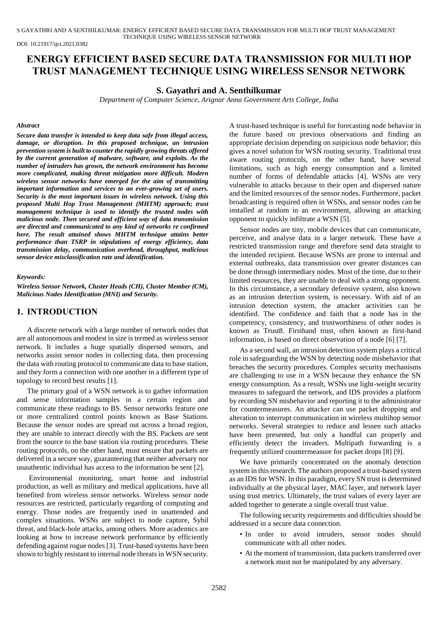S GAYATHRI AND A SENTHILKUMAR: ENERGY EFFICIENT BASED SECURE DATA TRANSMISSION FOR MULTI HOP TRUST MANAGEMENT TECHNIQUE USING WIRELESS SENSOR NETWORK

DOI: 10.21917/ijct.2021.0382

# **ENERGY EFFICIENT BASED SECURE DATA TRANSMISSION FOR MULTI HOP TRUST MANAGEMENT TECHNIQUE USING WIRELESS SENSOR NETWORK**

### **S. Gayathri and A. Senthilkumar**

*Department of Computer Science, Arignar Anna Government Arts College, India*

#### *Abstract*

*Secure data transfer is intended to keep data safe from illegal access, damage, or disruption. In this proposed technique, an intrusion prevention system is built to counter the rapidly growing threats offered by the current generation of malware, software, and exploits. As the number of intruders has grown, the network environment has become more complicated, making threat mitigation more difficult. Modern wireless sensor networks have emerged for the aim of transmitting important information and services to an ever-growing set of users. Security is the most important issues in wireless network. Using this proposed Multi Hop Trust Management (MHTM) approach; trust management technique is used to identify the trusted nodes with malicious node. Then secured and efficient way of data transmission are directed and communicated to any kind of networks re confirmed here. The result attained shows MHTM technique attains better performance than TSRP in stipulations of energy efficiency, data transmission delay, communication overhead, throughput, malicious sensor device misclassification rate and identification.*

#### *Keywords:*

*Wireless Sensor Network, Cluster Heads (CH), Cluster Member (CM), Malicious Nodes Identification (MNI) and Security.*

## **1. INTRODUCTION**

A discrete network with a large number of network nodes that are all autonomous and modest in size is termed as wireless sensor network. It includes a huge spatially dispersed sensors, and networks assist sensor nodes in collecting data, then processing the data with routing protocol to communicate data to base station, and they form a connection with one another in a different type of topology to record best results [1].

The primary goal of a WSN network is to gather information and sense information samples in a certain region and communicate these readings to BS. Sensor networks feature one or more centralized control points known as Base Stations. Because the sensor nodes are spread out across a broad region, they are unable to interact directly with the BS. Packets are sent from the source to the base station via routing procedures. These routing protocols, on the other hand, must ensure that packets are delivered in a secure way, guaranteeing that neither adversary nor unauthentic individual has access to the information be sent [2].

Environmental monitoring, smart home and industrial production, as well as military and medical applications, have all benefited from wireless sensor networks. Wireless sensor node resources are restricted, particularly regarding of computing and energy. Those nodes are frequently used in unattended and complex situations. WSNs are subject to node capture, Sybil threat, and black-hole attacks, among others. More academics are looking at how to increase network performance by efficiently defending against rogue nodes [3]. Trust-based systems have been shown to highly resistant to internal node threats in WSN security.

A trust-based technique is useful for forecasting node behavior in the future based on previous observations and finding an appropriate decision depending on suspicious node behavior; this gives a novel solution for WSN routing security. Traditional trust aware routing protocols, on the other hand, have several limitations, such as high energy consumption and a limited number of forms of defendable attacks [4]. WSNs are very vulnerable to attacks because to their open and dispersed nature and the limited resources of the sensor nodes. Furthermore, packet broadcasting is required often in WSNs, and sensor nodes can be installed at random in an environment, allowing an attacking opponent to quickly infiltrate a WSN [5].

Sensor nodes are tiny, mobile devices that can communicate, perceive, and analyse data in a larger network. These have a restricted transmission range and therefore send data straight to the intended recipient. Because WSNs are prone to internal and external outbreaks, data transmission over greater distances can be done through intermediary nodes. Most of the time, due to their limited resources, they are unable to deal with a strong opponent. In this circumstance, a secondary defensive system, also known as an intrusion detection system, is necessary. With aid of an intrusion detection system, the attacker activities can be identified. The confidence and faith that a node has in the competency, consistency, and trustworthiness of other nodes is known as Trust8. Firsthand trust, often known as first-hand information, is based on direct observation of a node [6] [7].

As a second wall, an intrusion detection system plays a critical role in safeguarding the WSN by detecting node misbehavior that breaches the security procedures. Complex security mechanisms are challenging to use in a WSN because they enhance the SN energy consumption. As a result, WSNs use light-weight security measures to safeguard the network, and IDS provides a platform by recording SN misbehavior and reporting it to the administrator for countermeasures. An attacker can use packet dropping and alteration to interrupt communication in wireless multihop sensor networks. Several strategies to reduce and lessen such attacks have been presented, but only a handful can properly and efficiently detect the invaders. Multipath forwarding is a frequently utilized countermeasure for packet drops [8] [9].

We have primarily concentrated on the anomaly detection system in this research. The authors proposed a trust-based system as an IDS for WSN. In this paradigm, every SN trust is determined individually at the physical layer, MAC layer, and network layer using trust metrics. Ultimately, the trust values of every layer are added together to generate a single overall trust value.

The following security requirements and difficulties should be addressed in a secure data connection.

- In order to avoid intruders, sensor nodes should communicate with all other nodes.
- At the moment of transmission, data packets transferred over a network must not be manipulated by any adversary.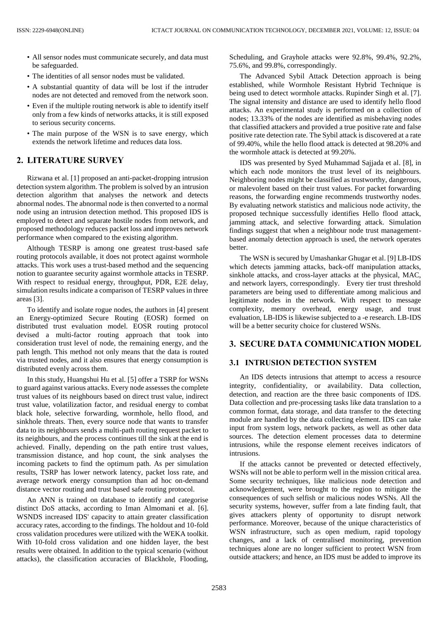- All sensor nodes must communicate securely, and data must be safeguarded.
- The identities of all sensor nodes must be validated.
- A substantial quantity of data will be lost if the intruder nodes are not detected and removed from the network soon.
- Even if the multiple routing network is able to identify itself only from a few kinds of networks attacks, it is still exposed to serious security concerns.
- The main purpose of the WSN is to save energy, which extends the network lifetime and reduces data loss.

## **2. LITERATURE SURVEY**

Rizwana et al. [1] proposed an anti-packet-dropping intrusion detection system algorithm. The problem is solved by an intrusion detection algorithm that analyses the network and detects abnormal nodes. The abnormal node is then converted to a normal node using an intrusion detection method. This proposed IDS is employed to detect and separate hostile nodes from network, and proposed methodology reduces packet loss and improves network performance when compared to the existing algorithm.

Although TESRP is among one greatest trust-based safe routing protocols available, it does not protect against wormhole attacks. This work uses a trust-based method and the sequencing notion to guarantee security against wormhole attacks in TESRP. With respect to residual energy, throughput, PDR, E2E delay, simulation results indicate a comparison of TESRP values in three areas [3].

To identify and isolate rogue nodes, the authors in [4] present an Energy-optimized Secure Routing (EOSR) formed on distributed trust evaluation model. EOSR routing protocol devised a multi-factor routing approach that took into consideration trust level of node, the remaining energy, and the path length. This method not only means that the data is routed via trusted nodes, and it also ensures that energy consumption is distributed evenly across them.

In this study, Huangshui Hu et al. [5] offer a TSRP for WSNs to guard against various attacks. Every node assesses the complete trust values of its neighbours based on direct trust value, indirect trust value, volatilization factor, and residual energy to combat black hole, selective forwarding, wormhole, hello flood, and sinkhole threats. Then, every source node that wants to transfer data to its neighbours sends a multi-path routing request packet to its neighbours, and the process continues till the sink at the end is achieved. Finally, depending on the path entire trust values, transmission distance, and hop count, the sink analyses the incoming packets to find the optimum path. As per simulation results, TSRP has lower network latency, packet loss rate, and average network energy consumption than ad hoc on-demand distance vector routing and trust based safe routing protocol.

An ANN is trained on database to identify and categorise distinct DoS attacks, according to Iman Almomani et al. [6]. WSNDS increased IDS' capacity to attain greater classification accuracy rates, according to the findings. The holdout and 10-fold cross validation procedures were utilized with the WEKA toolkit. With 10-fold cross validation and one hidden layer, the best results were obtained. In addition to the typical scenario (without attacks), the classification accuracies of Blackhole, Flooding,

Scheduling, and Grayhole attacks were 92.8%, 99.4%, 92.2%, 75.6%, and 99.8%, correspondingly.

The Advanced Sybil Attack Detection approach is being established, while Wormhole Resistant Hybrid Technique is being used to detect wormhole attacks. Rupinder Singh et al. [7]. The signal intensity and distance are used to identify hello flood attacks. An experimental study is performed on a collection of nodes; 13.33% of the nodes are identified as misbehaving nodes that classified attackers and provided a true positive rate and false positive rate detection rate. The Sybil attack is discovered at a rate of 99.40%, while the hello flood attack is detected at 98.20% and the wormhole attack is detected at 99.20%.

IDS was presented by Syed Muhammad Sajjada et al. [8], in which each node monitors the trust level of its neighbours. Neighboring nodes might be classified as trustworthy, dangerous, or malevolent based on their trust values. For packet forwarding reasons, the forwarding engine recommends trustworthy nodes. By evaluating network statistics and malicious node activity, the proposed technique successfully identifies Hello flood attack, jamming attack, and selective forwarding attack. Simulation findings suggest that when a neighbour node trust managementbased anomaly detection approach is used, the network operates better.

The WSN is secured by Umashankar Ghugar et al. [9] LB-IDS which detects jamming attacks, back-off manipulation attacks, sinkhole attacks, and cross-layer attacks at the physical, MAC, and network layers, correspondingly. Every tier trust threshold parameters are being used to differentiate among malicious and legitimate nodes in the network. With respect to message complexity, memory overhead, energy usage, and trust evaluation, LB-IDS is likewise subjected to a -e research. LB-IDS will be a better security choice for clustered WSNs.

## **3. SECURE DATA COMMUNICATION MODEL**

## **3.1 INTRUSION DETECTION SYSTEM**

An IDS detects intrusions that attempt to access a resource integrity, confidentiality, or availability. Data collection, detection, and reaction are the three basic components of IDS. Data collection and pre-processing tasks like data translation to a common format, data storage, and data transfer to the detecting module are handled by the data collecting element. IDS can take input from system logs, network packets, as well as other data sources. The detection element processes data to determine intrusions, while the response element receives indicators of intrusions.

If the attacks cannot be prevented or detected effectively, WSNs will not be able to perform well in the mission critical area. Some security techniques, like malicious node detection and acknowledgement, were brought to the region to mitigate the consequences of such selfish or malicious nodes WSNs. All the security systems, however, suffer from a late finding fault, that gives attackers plenty of opportunity to disrupt network performance. Moreover, because of the unique characteristics of WSN infrastructure, such as open medium, rapid topology changes, and a lack of centralised monitoring, prevention techniques alone are no longer sufficient to protect WSN from outside attackers; and hence, an IDS must be added to improve its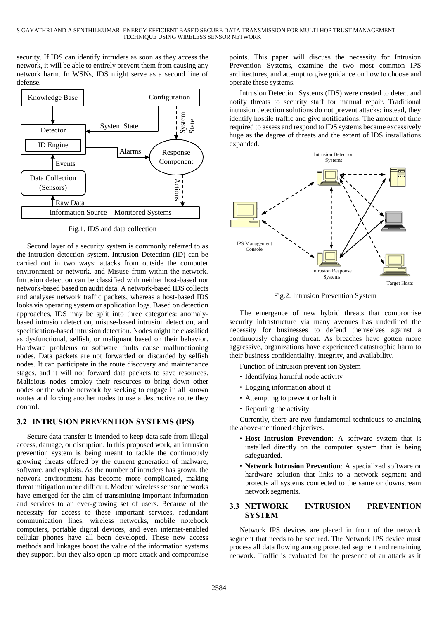security. If IDS can identify intruders as soon as they access the network, it will be able to entirely prevent them from causing any network harm. In WSNs, IDS might serve as a second line of defense.



Fig.1. IDS and data collection

Second layer of a security system is commonly referred to as the intrusion detection system. Intrusion Detection (ID) can be carried out in two ways: attacks from outside the computer environment or network, and Misuse from within the network. Intrusion detection can be classified with neither host-based nor network-based based on audit data. A network-based IDS collects and analyses network traffic packets, whereas a host-based IDS looks via operating system or application logs. Based on detection approaches, IDS may be split into three categories: anomalybased intrusion detection, misuse-based intrusion detection, and specification-based intrusion detection. Nodes might be classified as dysfunctional, selfish, or malignant based on their behavior. Hardware problems or software faults cause malfunctioning nodes. Data packets are not forwarded or discarded by selfish nodes. It can participate in the route discovery and maintenance stages, and it will not forward data packets to save resources. Malicious nodes employ their resources to bring down other nodes or the whole network by seeking to engage in all known routes and forcing another nodes to use a destructive route they control.

## **3.2 INTRUSION PREVENTION SYSTEMS (IPS)**

Secure data transfer is intended to keep data safe from illegal access, damage, or disruption. In this proposed work, an intrusion prevention system is being meant to tackle the continuously growing threats offered by the current generation of malware, software, and exploits. As the number of intruders has grown, the network environment has become more complicated, making threat mitigation more difficult. Modern wireless sensor networks have emerged for the aim of transmitting important information and services to an ever-growing set of users. Because of the necessity for access to these important services, redundant communication lines, wireless networks, mobile notebook computers, portable digital devices, and even internet-enabled cellular phones have all been developed. These new access methods and linkages boost the value of the information systems they support, but they also open up more attack and compromise

points. This paper will discuss the necessity for Intrusion Prevention Systems, examine the two most common IPS architectures, and attempt to give guidance on how to choose and operate these systems.

Intrusion Detection Systems (IDS) were created to detect and notify threats to security staff for manual repair. Traditional intrusion detection solutions do not prevent attacks; instead, they identify hostile traffic and give notifications. The amount of time required to assess and respond to IDS systems became excessively huge as the degree of threats and the extent of IDS installations expanded.



Fig.2. Intrusion Prevention System

The emergence of new hybrid threats that compromise security infrastructure via many avenues has underlined the necessity for businesses to defend themselves against a continuously changing threat. As breaches have gotten more aggressive, organizations have experienced catastrophic harm to their business confidentiality, integrity, and availability.

Function of Intrusion prevent ion System

- Identifying harmful node activity
- Logging information about it
- Attempting to prevent or halt it
- Reporting the activity

Currently, there are two fundamental techniques to attaining the above-mentioned objectives.

- **Host Intrusion Prevention**: A software system that is installed directly on the computer system that is being safeguarded.
- **Network Intrusion Prevention**: A specialized software or hardware solution that links to a network segment and protects all systems connected to the same or downstream network segments.

## **3.3 NETWORK INTRUSION PREVENTION SYSTEM**

Network IPS devices are placed in front of the network segment that needs to be secured. The Network IPS device must process all data flowing among protected segment and remaining network. Traffic is evaluated for the presence of an attack as it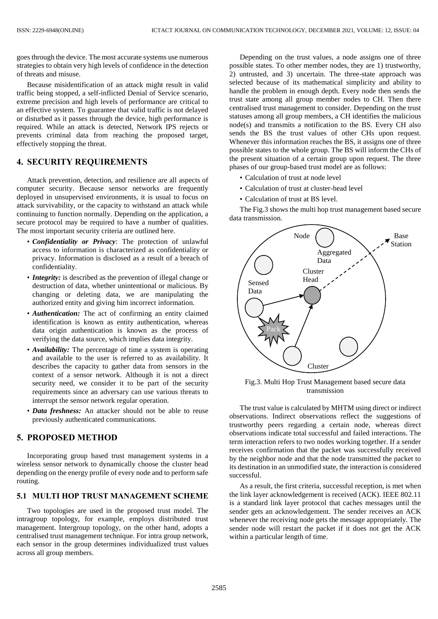goes through the device. The most accurate systems use numerous strategies to obtain very high levels of confidence in the detection of threats and misuse.

Because misidentification of an attack might result in valid traffic being stopped, a self-inflicted Denial of Service scenario, extreme precision and high levels of performance are critical to an effective system. To guarantee that valid traffic is not delayed or disturbed as it passes through the device, high performance is required. While an attack is detected, Network IPS rejects or prevents criminal data from reaching the proposed target, effectively stopping the threat.

## **4. SECURITY REQUIREMENTS**

Attack prevention, detection, and resilience are all aspects of computer security. Because sensor networks are frequently deployed in unsupervised environments, it is usual to focus on attack survivability, or the capacity to withstand an attack while continuing to function normally. Depending on the application, a secure protocol may be required to have a number of qualities. The most important security criteria are outlined here.

- *Confidentiality or Privacy*: The protection of unlawful access to information is characterized as confidentiality or privacy. Information is disclosed as a result of a breach of confidentiality.
- *Integrity:* is described as the prevention of illegal change or destruction of data, whether unintentional or malicious. By changing or deleting data, we are manipulating the authorized entity and giving him incorrect information.
- *Authentication:* The act of confirming an entity claimed identification is known as entity authentication, whereas data origin authentication is known as the process of verifying the data source, which implies data integrity.
- *Availability:* The percentage of time a system is operating and available to the user is referred to as availability. It describes the capacity to gather data from sensors in the context of a sensor network. Although it is not a direct security need, we consider it to be part of the security requirements since an adversary can use various threats to interrupt the sensor network regular operation.
- *Data freshness:* An attacker should not be able to reuse previously authenticated communications.

## **5. PROPOSED METHOD**

Incorporating group based trust management systems in a wireless sensor network to dynamically choose the cluster head depending on the energy profile of every node and to perform safe routing.

## **5.1 MULTI HOP TRUST MANAGEMENT SCHEME**

Two topologies are used in the proposed trust model. The intragroup topology, for example, employs distributed trust management. Intergroup topology, on the other hand, adopts a centralised trust management technique. For intra group network, each sensor in the group determines individualized trust values across all group members.

Depending on the trust values, a node assigns one of three possible states. To other member nodes, they are 1) trustworthy, 2) untrusted, and 3) uncertain. The three-state approach was selected because of its mathematical simplicity and ability to handle the problem in enough depth. Every node then sends the trust state among all group member nodes to CH. Then there centralised trust management to consider. Depending on the trust statuses among all group members, a CH identifies the malicious node(s) and transmits a notification to the BS. Every CH also sends the BS the trust values of other CHs upon request. Whenever this information reaches the BS, it assigns one of three possible states to the whole group. The BS will inform the CHs of the present situation of a certain group upon request. The three phases of our group-based trust model are as follows:

- Calculation of trust at node level
- Calculation of trust at cluster-head level
- Calculation of trust at BS level.

The Fig.3 shows the multi hop trust management based secure data transmission.



Fig.3. Multi Hop Trust Management based secure data transmission

The trust value is calculated by MHTM using direct or indirect observations. Indirect observations reflect the suggestions of trustworthy peers regarding a certain node, whereas direct observations indicate total successful and failed interactions. The term interaction refers to two nodes working together. If a sender receives confirmation that the packet was successfully received by the neighbor node and that the node transmitted the packet to its destination in an unmodified state, the interaction is considered successful.

As a result, the first criteria, successful reception, is met when the link layer acknowledgement is received (ACK). IEEE 802.11 is a standard link layer protocol that caches messages until the sender gets an acknowledgement. The sender receives an ACK whenever the receiving node gets the message appropriately. The sender node will restart the packet if it does not get the ACK within a particular length of time.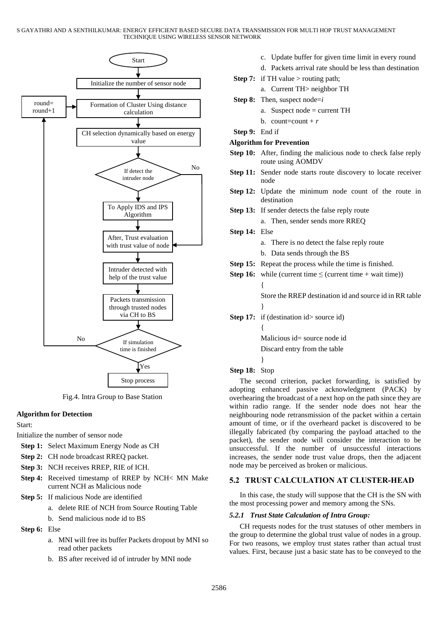#### S GAYATHRI AND A SENTHILKUMAR: ENERGY EFFICIENT BASED SECURE DATA TRANSMISSION FOR MULTI HOP TRUST MANAGEMENT TECHNIQUE USING WIRELESS SENSOR NETWORK



Fig.4. Intra Group to Base Station

#### **Algorithm for Detection**

#### Start:

Initialize the number of sensor node

- **Step 1:** Select Maximum Energy Node as CH
- **Step 2:** CH node broadcast RREQ packet.
- **Step 3:** NCH receives RREP, RIE of ICH.
- **Step 4:** Received timestamp of RREP by NCH< MN Make current NCH as Malicious node
- **Step 5:** If malicious Node are identified
	- a. delete RIE of NCH from Source Routing Table
	- b. Send malicious node id to BS
- **Step 6:** Else
	- a. MNI will free its buffer Packets dropout by MNI so read other packets
	- b. BS after received id of intruder by MNI node
- c. Update buffer for given time limit in every round
- d. Packets arrival rate should be less than destination
- **Step 7:** if TH value > routing path;
	- a. Current TH> neighbor TH
- **Step 8:** Then, suspect node=*i* 
	- a. Suspect node = current TH
	- b. count=count +  $r$
- **Step 9:** End if

#### **Algorithm for Prevention**

- **Step 10:** After, finding the malicious node to check false reply route using AOMDV
- **Step 11:** Sender node starts route discovery to locate receiver node
- **Step 12:** Update the minimum node count of the route in destination
- **Step 13:** If sender detects the false reply route a. Then, sender sends more RREQ
- **Step 14:** Else
	- a. There is no detect the false reply route
	- b. Data sends through the BS
- **Step 15:** Repeat the process while the time is finished.
- **Step 16:** while (current time  $\leq$  (current time + wait time)) {

Store the RREP destination id and source id in RR table }

**Step 17:** if (destination id > source id)

{ Malicious id= source node id

Discard entry from the table

}

#### **Step 18:** Stop

The second criterion, packet forwarding, is satisfied by adopting enhanced passive acknowledgment (PACK) by overhearing the broadcast of a next hop on the path since they are within radio range. If the sender node does not hear the neighbouring node retransmission of the packet within a certain amount of time, or if the overheard packet is discovered to be illegally fabricated (by comparing the payload attached to the packet), the sender node will consider the interaction to be unsuccessful. If the number of unsuccessful interactions increases, the sender node trust value drops, then the adjacent node may be perceived as broken or malicious.

#### **5.2 TRUST CALCULATION AT CLUSTER-HEAD**

In this case, the study will suppose that the CH is the SN with the most processing power and memory among the SNs.

#### *5.2.1 Trust State Calculation of Intra Group:*

CH requests nodes for the trust statuses of other members in the group to determine the global trust value of nodes in a group. For two reasons, we employ trust states rather than actual trust values. First, because just a basic state has to be conveyed to the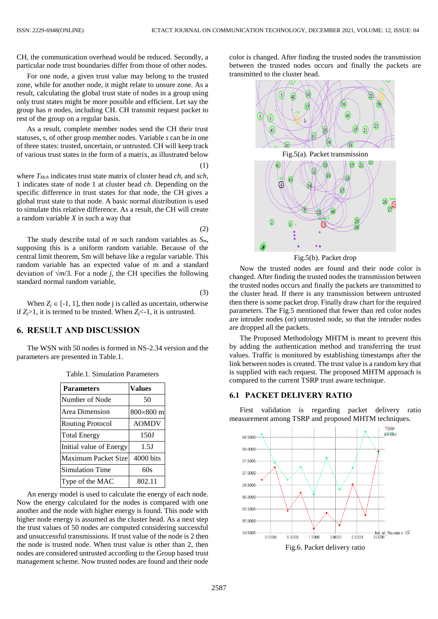CH, the communication overhead would be reduced. Secondly, a particular node trust boundaries differ from those of other nodes.

For one node, a given trust value may belong to the trusted zone, while for another node, it might relate to unsure zone. As a result, calculating the global trust state of nodes in a group using only trust states might be more possible and efficient. Let say the group has *n* nodes, including CH. CH transmit request packet to rest of the group on a regular basis.

As a result, complete member nodes send the CH their trust statuses, s, of other group member nodes. Variable *s* can be in one of three states: trusted, uncertain, or untrusted. CH will keep track of various trust states in the form of a matrix, as illustrated below (1)

where *TMch* indicates trust state matrix of cluster head *ch*, and *sch*, 1 indicates state of node 1 at cluster head *ch*. Depending on the specific difference in trust states for that node, the CH gives a global trust state to that node. A basic normal distribution is used to simulate this relative difference. As a result, the CH will create a random variable *X* in such a way that

The study describe total of *m* such random variables as *Sm*, supposing this is a uniform random variable. Because of the central limit theorem, Sm will behave like a regular variable. This random variable has an expected value of m and a standard deviation of  $\sqrt{m/3}$ . For a node *j*, the CH specifies the following standard normal random variable,

(3)

(2)

When  $Z_i \in [-1, 1]$ , then node *i* is called as uncertain, otherwise if  $Z_i > 1$ , it is termed to be trusted. When  $Z_i < -1$ , it is untrusted.

## **6. RESULT AND DISCUSSION**

The WSN with 50 nodes is formed in NS-2.34 version and the parameters are presented in Table.1.

|  |  | Table.1. Simulation Parameters |
|--|--|--------------------------------|
|--|--|--------------------------------|

| <b>Parameters</b>       | <b>Values</b> |
|-------------------------|---------------|
| Number of Node          | 50            |
| Area Dimension          | 800×800 m     |
| <b>Routing Protocol</b> | <b>AOMDV</b>  |
| <b>Total Energy</b>     | 150J          |
| Initial value of Energy | 1.5J          |
| Maximum Packet Size     | 4000 bits     |
| <b>Simulation Time</b>  | 60s           |
| Type of the MAC         | 802.11        |

An energy model is used to calculate the energy of each node. Now the energy calculated for the nodes is compared with one another and the node with higher energy is found. This node with higher node energy is assumed as the cluster head. As a next step the trust values of 50 nodes are computed considering successful and unsuccessful transmissions. If trust value of the node is 2 then the node is trusted node. When trust value is other than 2, then nodes are considered untrusted according to the Group based trust management scheme. Now trusted nodes are found and their node

color is changed. After finding the trusted nodes the transmission between the trusted nodes occurs and finally the packets are transmitted to the cluster head.



Fig.5(b). Packet drop

Now the trusted nodes are found and their node color is changed. After finding the trusted nodes the transmission between the trusted nodes occurs and finally the packets are transmitted to the cluster head. If there is any transmission between untrusted then there is some packet drop. Finally draw chart for the required parameters. The Fig.5 mentioned that fewer than red color nodes are intruder nodes (or) untrusted node, so that the intruder nodes are dropped all the packets.

The Proposed Methodology MHTM is meant to prevent this by adding the authentication method and transferring the trust values. Traffic is monitored by establishing timestamps after the link between nodes is created. The trust value is a random key that is supplied with each request. The proposed MHTM approach is compared to the current TSRP trust aware technique.

#### **6.1 PACKET DELIVERY RATIO**

First validation is regarding packet delivery ratio measurement among TSRP and proposed MHTM techniques.



Fig.6. Packet delivery ratio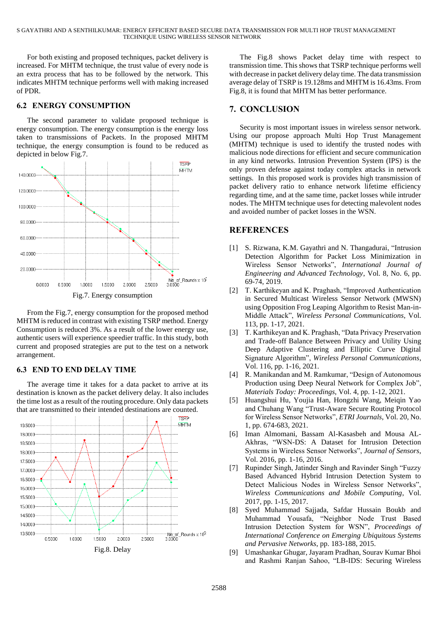For both existing and proposed techniques, packet delivery is increased. For MHTM technique, the trust value of every node is an extra process that has to be followed by the network. This indicates MHTM technique performs well with making increased of PDR.

### **6.2 ENERGY CONSUMPTION**

The second parameter to validate proposed technique is energy consumption. The energy consumption is the energy loss taken to transmissions of Packets. In the proposed MHTM technique, the energy consumption is found to be reduced as depicted in below Fig.7.



From the Fig.7, energy consumption for the proposed method MHTM is reduced in contrast with existing TSRP method. Energy Consumption is reduced 3%. As a result of the lower energy use, authentic users will experience speedier traffic. In this study, both current and proposed strategies are put to the test on a network arrangement.

## **6.3 END TO END DELAY TIME**

The average time it takes for a data packet to arrive at its destination is known as the packet delivery delay. It also includes the time lost as a result of the routing procedure. Only data packets that are transmitted to their intended destinations are counted.



The Fig.8 shows Packet delay time with respect to transmission time. This shows that TSRP technique performs well with decrease in packet delivery delay time. The data transmission average delay of TSRP is 19.128ms and MHTM is 16.43ms. From Fig.8, it is found that MHTM has better performance.

## **7. CONCLUSION**

Security is most important issues in wireless sensor network. Using our propose approach Multi Hop Trust Management (MHTM) technique is used to identify the trusted nodes with malicious node directions for efficient and secure communication in any kind networks. Intrusion Prevention System (IPS) is the only proven defense against today complex attacks in network settings. In this proposed work is provides high transmission of packet delivery ratio to enhance network lifetime efficiency regarding time, and at the same time, packet losses while intruder nodes. The MHTM technique uses for detecting malevolent nodes and avoided number of packet losses in the WSN.

## **REFERENCES**

- [1] S. Rizwana, K.M. Gayathri and N. Thangadurai, "Intrusion Detection Algorithm for Packet Loss Minimization in Wireless Sensor Networks", *International Journal of Engineering and Advanced Technology*, Vol. 8, No. 6, pp. 69-74, 2019.
- [2] T. Karthikeyan and K. Praghash, "Improved Authentication in Secured Multicast Wireless Sensor Network (MWSN) using Opposition Frog Leaping Algorithm to Resist Man-in-Middle Attack", *Wireless Personal Communications*, Vol. 113, pp. 1-17, 2021.
- [3] T. Karthikeyan and K. Praghash, "Data Privacy Preservation and Trade-off Balance Between Privacy and Utility Using Deep Adaptive Clustering and Elliptic Curve Digital Signature Algorithm", *Wireless Personal Communications*, Vol. 116, pp. 1-16, 2021.
- [4] R. Manikandan and M. Ramkumar, "Design of Autonomous Production using Deep Neural Network for Complex Job", *Materials Today: Proceedings*, Vol. 4, pp. 1-12, 2021.
- [5] Huangshui Hu, Youjia Han, Hongzhi Wang, Meiqin Yao and Chuhang Wang "Trust-Aware Secure Routing Protocol for Wireless Sensor Networks", *ETRI Journals*, Vol. 20, No. 1, pp. 674-683, 2021.
- [6] Iman Almomani, Bassam Al-Kasasbeh and Mousa AL-Akhras, "WSN-DS: A Dataset for Intrusion Detection Systems in Wireless Sensor Networks", *Journal of Sensors*, Vol. 2016, pp. 1-16, 2016.
- [7] Rupinder Singh, Jatinder Singh and Ravinder Singh "Fuzzy Based Advanced Hybrid Intrusion Detection System to Detect Malicious Nodes in Wireless Sensor Networks", *Wireless Communications and Mobile Computing*, Vol. 2017, pp. 1-15, 2017.
- [8] Syed Muhammad Sajjada, Safdar Hussain Boukb and Muhammad Yousafa, "Neighbor Node Trust Based Intrusion Detection System for WSN", *Proceedings of International Conference on Emerging Ubiquitous Systems and Pervasive Networks*, pp. 183-188, 2015.
- [9] Umashankar Ghugar, Jayaram Pradhan, Sourav Kumar Bhoi and Rashmi Ranjan Sahoo, "LB-IDS: Securing Wireless